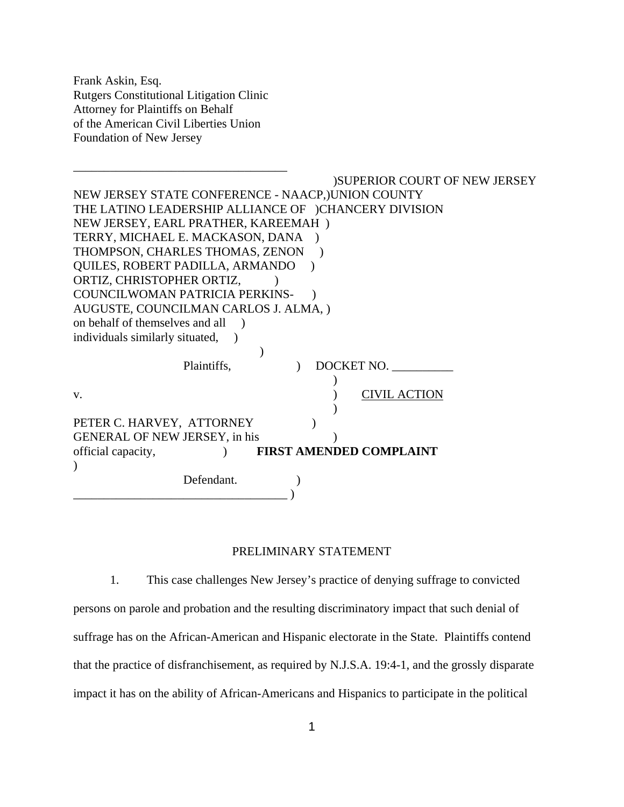Frank Askin, Esq. Rutgers Constitutional Litigation Clinic Attorney for Plaintiffs on Behalf of the American Civil Liberties Union Foundation of New Jersey

\_\_\_\_\_\_\_\_\_\_\_\_\_\_\_\_\_\_\_\_\_\_\_\_\_\_\_\_\_\_\_\_\_\_\_ )SUPERIOR COURT OF NEW JERSEY NEW JERSEY STATE CONFERENCE - NAACP,)UNION COUNTY THE LATINO LEADERSHIP ALLIANCE OF )CHANCERY DIVISION NEW JERSEY, EARL PRATHER, KAREEMAH ) TERRY, MICHAEL E. MACKASON, DANA ) THOMPSON, CHARLES THOMAS, ZENON ) QUILES, ROBERT PADILLA, ARMANDO ) ORTIZ, CHRISTOPHER ORTIZ, COUNCILWOMAN PATRICIA PERKINS- ) AUGUSTE, COUNCILMAN CARLOS J. ALMA, ) on behalf of themselves and all ) individuals similarly situated,  $\overline{\phantom{a}}$ Plaintiffs,  $DOCKET NO$ .  $\lambda$ v. CIVIL ACTION  $\lambda$ PETER C. HARVEY, ATTORNEY GENERAL OF NEW JERSEY, in his ) official capacity, ) **FIRST AMENDED COMPLAINT**  $\mathcal{L}$ Defendant. \_\_\_\_\_\_\_\_\_\_\_\_\_\_\_\_\_\_\_\_\_\_\_\_\_\_\_\_\_\_\_\_\_\_\_ )

#### PRELIMINARY STATEMENT

1. This case challenges New Jersey's practice of denying suffrage to convicted persons on parole and probation and the resulting discriminatory impact that such denial of suffrage has on the African-American and Hispanic electorate in the State. Plaintiffs contend that the practice of disfranchisement, as required by N.J.S.A. 19:4-1, and the grossly disparate impact it has on the ability of African-Americans and Hispanics to participate in the political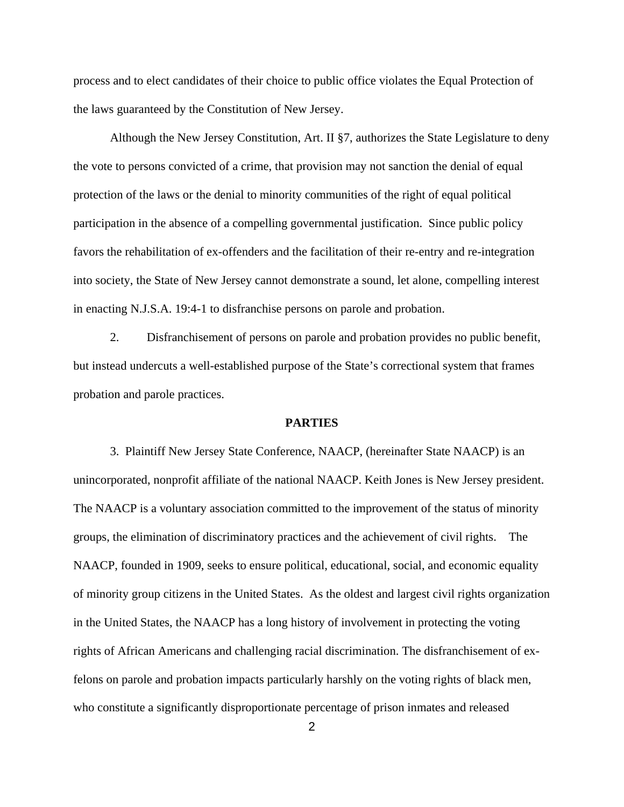process and to elect candidates of their choice to public office violates the Equal Protection of the laws guaranteed by the Constitution of New Jersey.

Although the New Jersey Constitution, Art. II §7, authorizes the State Legislature to deny the vote to persons convicted of a crime, that provision may not sanction the denial of equal protection of the laws or the denial to minority communities of the right of equal political participation in the absence of a compelling governmental justification. Since public policy favors the rehabilitation of ex-offenders and the facilitation of their re-entry and re-integration into society, the State of New Jersey cannot demonstrate a sound, let alone, compelling interest in enacting N.J.S.A. 19:4-1 to disfranchise persons on parole and probation.

2. Disfranchisement of persons on parole and probation provides no public benefit, but instead undercuts a well-established purpose of the State's correctional system that frames probation and parole practices.

### **PARTIES**

3. Plaintiff New Jersey State Conference, NAACP, (hereinafter State NAACP) is an unincorporated, nonprofit affiliate of the national NAACP. Keith Jones is New Jersey president. The NAACP is a voluntary association committed to the improvement of the status of minority groups, the elimination of discriminatory practices and the achievement of civil rights. The NAACP, founded in 1909, seeks to ensure political, educational, social, and economic equality of minority group citizens in the United States. As the oldest and largest civil rights organization in the United States, the NAACP has a long history of involvement in protecting the voting rights of African Americans and challenging racial discrimination. The disfranchisement of exfelons on parole and probation impacts particularly harshly on the voting rights of black men, who constitute a significantly disproportionate percentage of prison inmates and released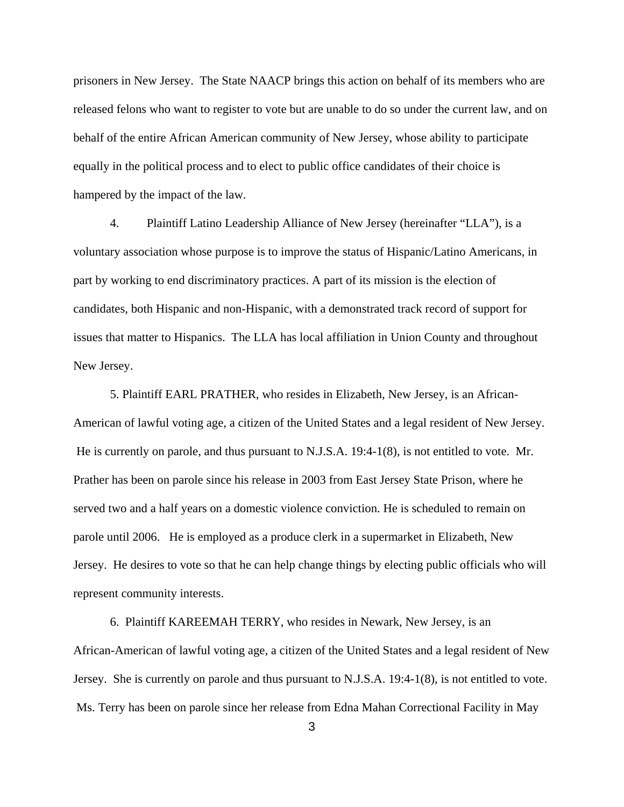prisoners in New Jersey. The State NAACP brings this action on behalf of its members who are released felons who want to register to vote but are unable to do so under the current law, and on behalf of the entire African American community of New Jersey, whose ability to participate equally in the political process and to elect to public office candidates of their choice is hampered by the impact of the law.

4. Plaintiff Latino Leadership Alliance of New Jersey (hereinafter "LLA"), is a voluntary association whose purpose is to improve the status of Hispanic/Latino Americans, in part by working to end discriminatory practices. A part of its mission is the election of candidates, both Hispanic and non-Hispanic, with a demonstrated track record of support for issues that matter to Hispanics. The LLA has local affiliation in Union County and throughout New Jersey.

5. Plaintiff EARL PRATHER, who resides in Elizabeth, New Jersey, is an African-American of lawful voting age, a citizen of the United States and a legal resident of New Jersey. He is currently on parole, and thus pursuant to N.J.S.A. 19:4-1(8), is not entitled to vote. Mr. Prather has been on parole since his release in 2003 from East Jersey State Prison, where he served two and a half years on a domestic violence conviction. He is scheduled to remain on parole until 2006. He is employed as a produce clerk in a supermarket in Elizabeth, New Jersey. He desires to vote so that he can help change things by electing public officials who will represent community interests.

6. Plaintiff KAREEMAH TERRY, who resides in Newark, New Jersey, is an African-American of lawful voting age, a citizen of the United States and a legal resident of New Jersey. She is currently on parole and thus pursuant to N.J.S.A. 19:4-1(8), is not entitled to vote. Ms. Terry has been on parole since her release from Edna Mahan Correctional Facility in May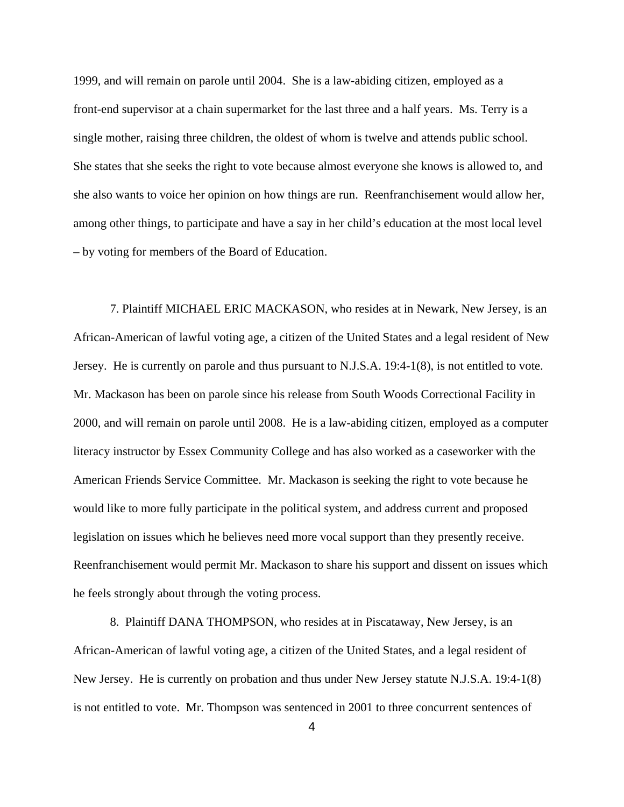1999, and will remain on parole until 2004. She is a law-abiding citizen, employed as a front-end supervisor at a chain supermarket for the last three and a half years. Ms. Terry is a single mother, raising three children, the oldest of whom is twelve and attends public school. She states that she seeks the right to vote because almost everyone she knows is allowed to, and she also wants to voice her opinion on how things are run. Reenfranchisement would allow her, among other things, to participate and have a say in her child's education at the most local level – by voting for members of the Board of Education.

 7. Plaintiff MICHAEL ERIC MACKASON, who resides at in Newark, New Jersey, is an African-American of lawful voting age, a citizen of the United States and a legal resident of New Jersey. He is currently on parole and thus pursuant to N.J.S.A. 19:4-1(8), is not entitled to vote. Mr. Mackason has been on parole since his release from South Woods Correctional Facility in 2000, and will remain on parole until 2008. He is a law-abiding citizen, employed as a computer literacy instructor by Essex Community College and has also worked as a caseworker with the American Friends Service Committee. Mr. Mackason is seeking the right to vote because he would like to more fully participate in the political system, and address current and proposed legislation on issues which he believes need more vocal support than they presently receive. Reenfranchisement would permit Mr. Mackason to share his support and dissent on issues which he feels strongly about through the voting process.

8. Plaintiff DANA THOMPSON, who resides at in Piscataway, New Jersey, is an African-American of lawful voting age, a citizen of the United States, and a legal resident of New Jersey. He is currently on probation and thus under New Jersey statute N.J.S.A. 19:4-1(8) is not entitled to vote. Mr. Thompson was sentenced in 2001 to three concurrent sentences of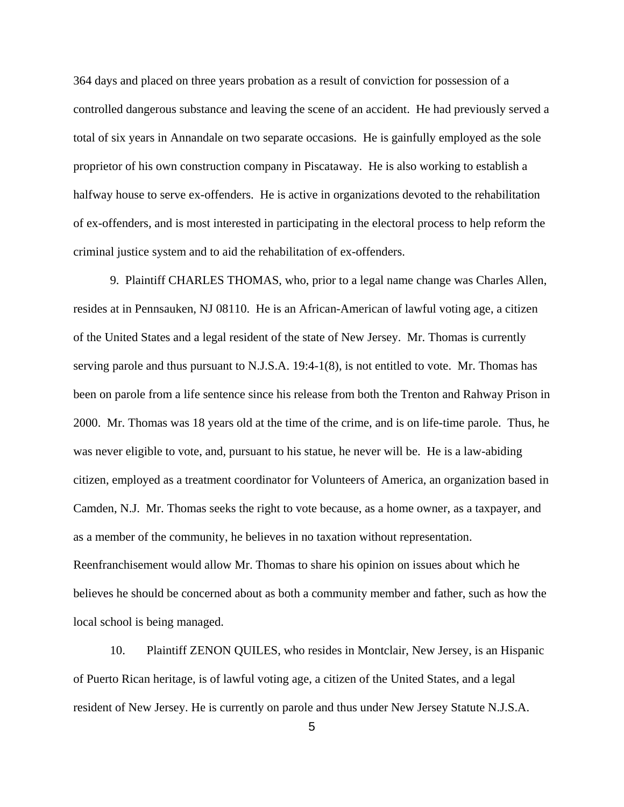364 days and placed on three years probation as a result of conviction for possession of a controlled dangerous substance and leaving the scene of an accident. He had previously served a total of six years in Annandale on two separate occasions. He is gainfully employed as the sole proprietor of his own construction company in Piscataway. He is also working to establish a halfway house to serve ex-offenders. He is active in organizations devoted to the rehabilitation of ex-offenders, and is most interested in participating in the electoral process to help reform the criminal justice system and to aid the rehabilitation of ex-offenders.

9. Plaintiff CHARLES THOMAS, who, prior to a legal name change was Charles Allen, resides at in Pennsauken, NJ 08110. He is an African-American of lawful voting age, a citizen of the United States and a legal resident of the state of New Jersey. Mr. Thomas is currently serving parole and thus pursuant to N.J.S.A. 19:4-1(8), is not entitled to vote. Mr. Thomas has been on parole from a life sentence since his release from both the Trenton and Rahway Prison in 2000. Mr. Thomas was 18 years old at the time of the crime, and is on life-time parole. Thus, he was never eligible to vote, and, pursuant to his statue, he never will be. He is a law-abiding citizen, employed as a treatment coordinator for Volunteers of America, an organization based in Camden, N.J. Mr. Thomas seeks the right to vote because, as a home owner, as a taxpayer, and as a member of the community, he believes in no taxation without representation. Reenfranchisement would allow Mr. Thomas to share his opinion on issues about which he believes he should be concerned about as both a community member and father, such as how the local school is being managed.

10. Plaintiff ZENON QUILES, who resides in Montclair, New Jersey, is an Hispanic of Puerto Rican heritage, is of lawful voting age, a citizen of the United States, and a legal resident of New Jersey. He is currently on parole and thus under New Jersey Statute N.J.S.A.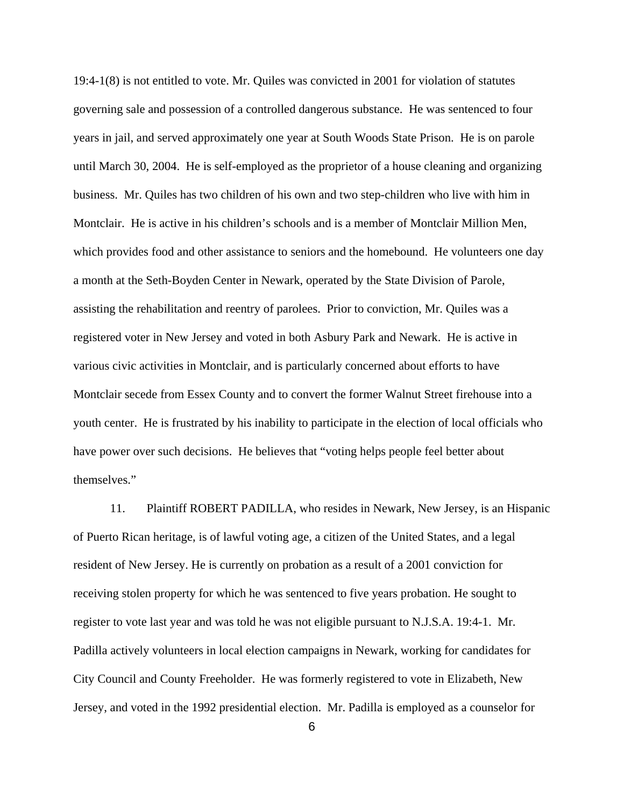19:4-1(8) is not entitled to vote. Mr. Quiles was convicted in 2001 for violation of statutes governing sale and possession of a controlled dangerous substance. He was sentenced to four years in jail, and served approximately one year at South Woods State Prison. He is on parole until March 30, 2004. He is self-employed as the proprietor of a house cleaning and organizing business. Mr. Quiles has two children of his own and two step-children who live with him in Montclair. He is active in his children's schools and is a member of Montclair Million Men, which provides food and other assistance to seniors and the homebound. He volunteers one day a month at the Seth-Boyden Center in Newark, operated by the State Division of Parole, assisting the rehabilitation and reentry of parolees. Prior to conviction, Mr. Quiles was a registered voter in New Jersey and voted in both Asbury Park and Newark. He is active in various civic activities in Montclair, and is particularly concerned about efforts to have Montclair secede from Essex County and to convert the former Walnut Street firehouse into a youth center. He is frustrated by his inability to participate in the election of local officials who have power over such decisions. He believes that "voting helps people feel better about themselves."

11. Plaintiff ROBERT PADILLA, who resides in Newark, New Jersey, is an Hispanic of Puerto Rican heritage, is of lawful voting age, a citizen of the United States, and a legal resident of New Jersey. He is currently on probation as a result of a 2001 conviction for receiving stolen property for which he was sentenced to five years probation. He sought to register to vote last year and was told he was not eligible pursuant to N.J.S.A. 19:4-1. Mr. Padilla actively volunteers in local election campaigns in Newark, working for candidates for City Council and County Freeholder. He was formerly registered to vote in Elizabeth, New Jersey, and voted in the 1992 presidential election. Mr. Padilla is employed as a counselor for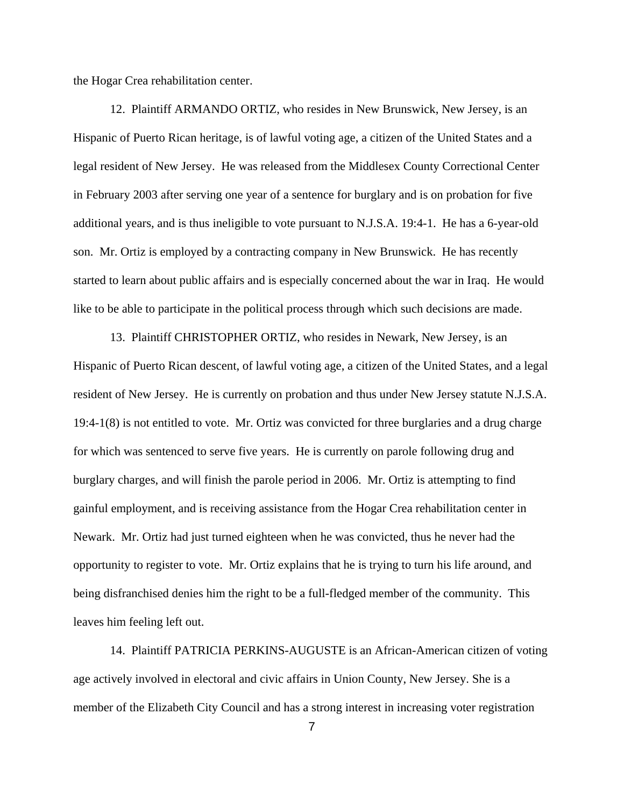the Hogar Crea rehabilitation center.

12. Plaintiff ARMANDO ORTIZ, who resides in New Brunswick, New Jersey, is an Hispanic of Puerto Rican heritage, is of lawful voting age, a citizen of the United States and a legal resident of New Jersey. He was released from the Middlesex County Correctional Center in February 2003 after serving one year of a sentence for burglary and is on probation for five additional years, and is thus ineligible to vote pursuant to N.J.S.A. 19:4-1. He has a 6-year-old son. Mr. Ortiz is employed by a contracting company in New Brunswick. He has recently started to learn about public affairs and is especially concerned about the war in Iraq. He would like to be able to participate in the political process through which such decisions are made.

13. Plaintiff CHRISTOPHER ORTIZ, who resides in Newark, New Jersey, is an Hispanic of Puerto Rican descent, of lawful voting age, a citizen of the United States, and a legal resident of New Jersey. He is currently on probation and thus under New Jersey statute N.J.S.A. 19:4-1(8) is not entitled to vote. Mr. Ortiz was convicted for three burglaries and a drug charge for which was sentenced to serve five years. He is currently on parole following drug and burglary charges, and will finish the parole period in 2006. Mr. Ortiz is attempting to find gainful employment, and is receiving assistance from the Hogar Crea rehabilitation center in Newark. Mr. Ortiz had just turned eighteen when he was convicted, thus he never had the opportunity to register to vote. Mr. Ortiz explains that he is trying to turn his life around, and being disfranchised denies him the right to be a full-fledged member of the community. This leaves him feeling left out.

14. Plaintiff PATRICIA PERKINS-AUGUSTE is an African-American citizen of voting age actively involved in electoral and civic affairs in Union County, New Jersey. She is a member of the Elizabeth City Council and has a strong interest in increasing voter registration

7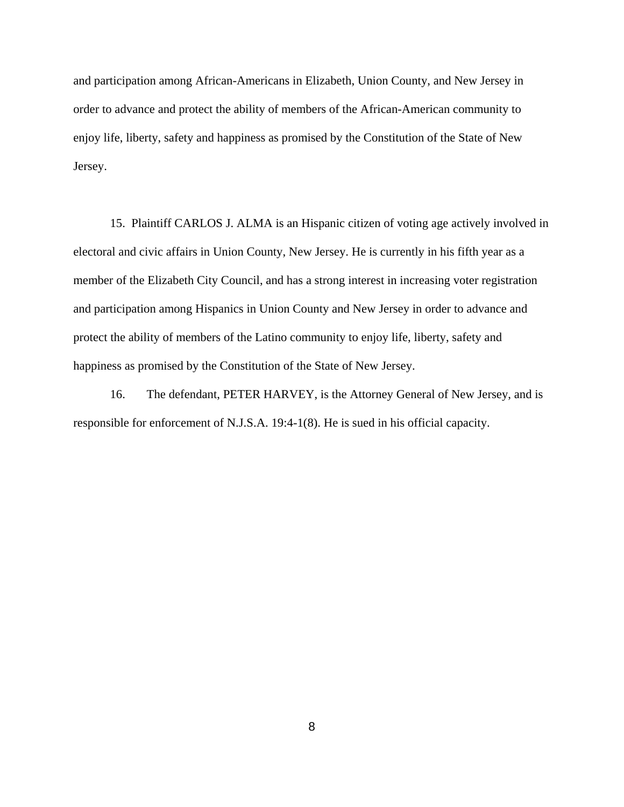and participation among African-Americans in Elizabeth, Union County, and New Jersey in order to advance and protect the ability of members of the African-American community to enjoy life, liberty, safety and happiness as promised by the Constitution of the State of New Jersey.

15. Plaintiff CARLOS J. ALMA is an Hispanic citizen of voting age actively involved in electoral and civic affairs in Union County, New Jersey. He is currently in his fifth year as a member of the Elizabeth City Council, and has a strong interest in increasing voter registration and participation among Hispanics in Union County and New Jersey in order to advance and protect the ability of members of the Latino community to enjoy life, liberty, safety and happiness as promised by the Constitution of the State of New Jersey.

16. The defendant, PETER HARVEY, is the Attorney General of New Jersey, and is responsible for enforcement of N.J.S.A. 19:4-1(8). He is sued in his official capacity.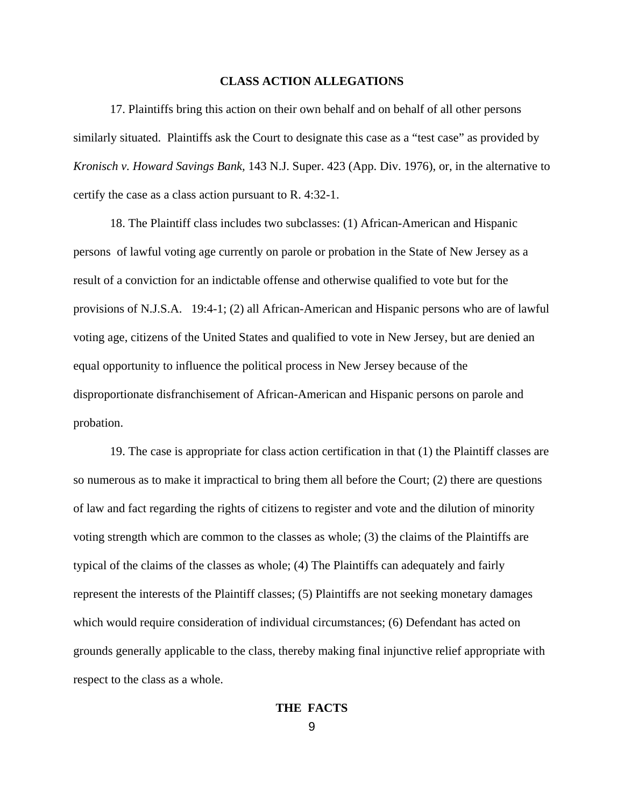#### **CLASS ACTION ALLEGATIONS**

17. Plaintiffs bring this action on their own behalf and on behalf of all other persons similarly situated. Plaintiffs ask the Court to designate this case as a "test case" as provided by *Kronisch v. Howard Savings Bank,* 143 N.J. Super. 423 (App. Div. 1976), or, in the alternative to certify the case as a class action pursuant to R. 4:32-1.

18. The Plaintiff class includes two subclasses: (1) African-American and Hispanic persons of lawful voting age currently on parole or probation in the State of New Jersey as a result of a conviction for an indictable offense and otherwise qualified to vote but for the provisions of N.J.S.A. 19:4-1; (2) all African-American and Hispanic persons who are of lawful voting age, citizens of the United States and qualified to vote in New Jersey, but are denied an equal opportunity to influence the political process in New Jersey because of the disproportionate disfranchisement of African-American and Hispanic persons on parole and probation.

19. The case is appropriate for class action certification in that (1) the Plaintiff classes are so numerous as to make it impractical to bring them all before the Court; (2) there are questions of law and fact regarding the rights of citizens to register and vote and the dilution of minority voting strength which are common to the classes as whole; (3) the claims of the Plaintiffs are typical of the claims of the classes as whole; (4) The Plaintiffs can adequately and fairly represent the interests of the Plaintiff classes; (5) Plaintiffs are not seeking monetary damages which would require consideration of individual circumstances; (6) Defendant has acted on grounds generally applicable to the class, thereby making final injunctive relief appropriate with respect to the class as a whole.

9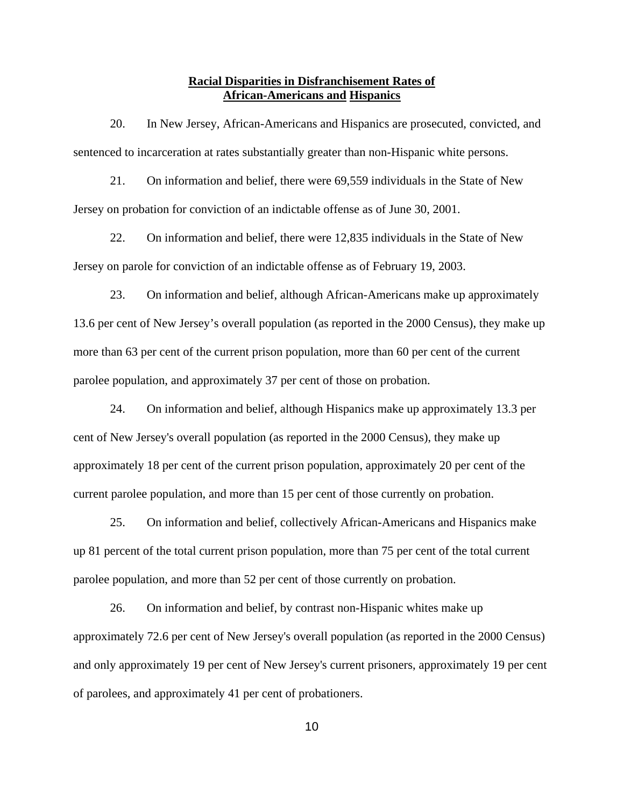# **Racial Disparities in Disfranchisement Rates of African-Americans and Hispanics**

20. In New Jersey, African-Americans and Hispanics are prosecuted, convicted, and sentenced to incarceration at rates substantially greater than non-Hispanic white persons.

21. On information and belief, there were 69,559 individuals in the State of New Jersey on probation for conviction of an indictable offense as of June 30, 2001.

22. On information and belief, there were 12,835 individuals in the State of New Jersey on parole for conviction of an indictable offense as of February 19, 2003.

23. On information and belief, although African-Americans make up approximately 13.6 per cent of New Jersey's overall population (as reported in the 2000 Census), they make up more than 63 per cent of the current prison population, more than 60 per cent of the current parolee population, and approximately 37 per cent of those on probation.

24. On information and belief, although Hispanics make up approximately 13.3 per cent of New Jersey's overall population (as reported in the 2000 Census), they make up approximately 18 per cent of the current prison population, approximately 20 per cent of the current parolee population, and more than 15 per cent of those currently on probation.

25. On information and belief, collectively African-Americans and Hispanics make up 81 percent of the total current prison population, more than 75 per cent of the total current parolee population, and more than 52 per cent of those currently on probation.

26. On information and belief, by contrast non-Hispanic whites make up approximately 72.6 per cent of New Jersey's overall population (as reported in the 2000 Census) and only approximately 19 per cent of New Jersey's current prisoners, approximately 19 per cent of parolees, and approximately 41 per cent of probationers.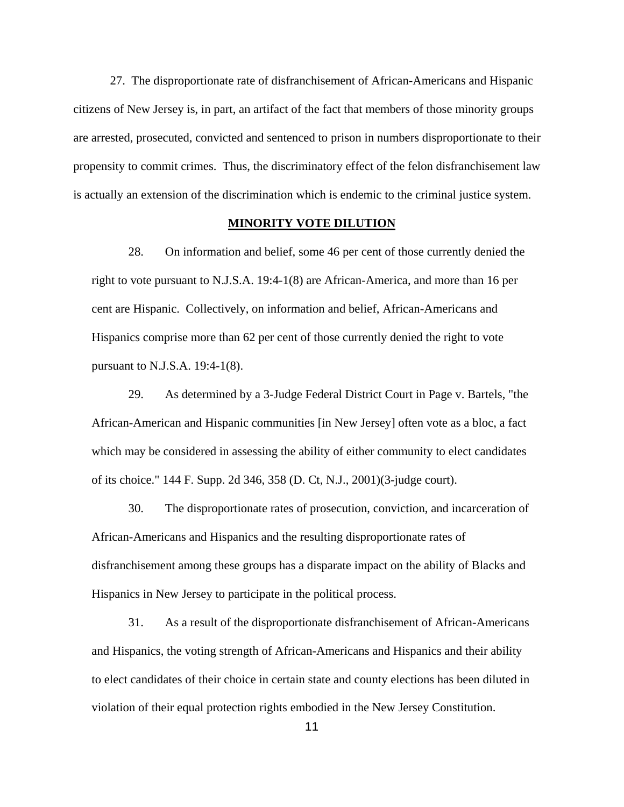27. The disproportionate rate of disfranchisement of African-Americans and Hispanic citizens of New Jersey is, in part, an artifact of the fact that members of those minority groups are arrested, prosecuted, convicted and sentenced to prison in numbers disproportionate to their propensity to commit crimes. Thus, the discriminatory effect of the felon disfranchisement law is actually an extension of the discrimination which is endemic to the criminal justice system.

### **MINORITY VOTE DILUTION**

28. On information and belief, some 46 per cent of those currently denied the right to vote pursuant to N.J.S.A. 19:4-1(8) are African-America, and more than 16 per cent are Hispanic. Collectively, on information and belief, African-Americans and Hispanics comprise more than 62 per cent of those currently denied the right to vote pursuant to N.J.S.A. 19:4-1(8).

29. As determined by a 3-Judge Federal District Court in Page v. Bartels, "the African-American and Hispanic communities [in New Jersey] often vote as a bloc, a fact which may be considered in assessing the ability of either community to elect candidates of its choice." 144 F. Supp. 2d 346, 358 (D. Ct, N.J., 2001)(3-judge court).

30. The disproportionate rates of prosecution, conviction, and incarceration of African-Americans and Hispanics and the resulting disproportionate rates of disfranchisement among these groups has a disparate impact on the ability of Blacks and Hispanics in New Jersey to participate in the political process.

31. As a result of the disproportionate disfranchisement of African-Americans and Hispanics, the voting strength of African-Americans and Hispanics and their ability to elect candidates of their choice in certain state and county elections has been diluted in violation of their equal protection rights embodied in the New Jersey Constitution.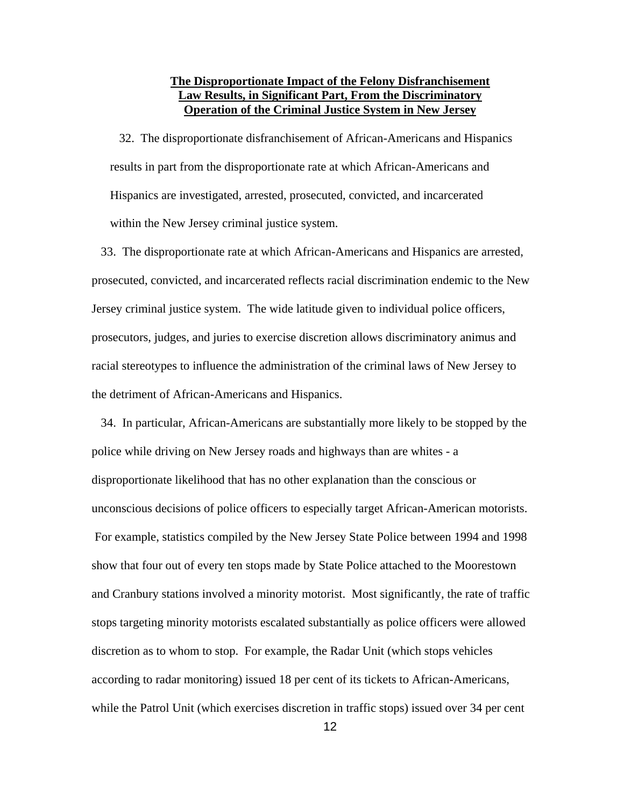# **The Disproportionate Impact of the Felony Disfranchisement Law Results, in Significant Part, From the Discriminatory Operation of the Criminal Justice System in New Jersey**

 32. The disproportionate disfranchisement of African-Americans and Hispanics results in part from the disproportionate rate at which African-Americans and Hispanics are investigated, arrested, prosecuted, convicted, and incarcerated within the New Jersey criminal justice system.

 33. The disproportionate rate at which African-Americans and Hispanics are arrested, prosecuted, convicted, and incarcerated reflects racial discrimination endemic to the New Jersey criminal justice system. The wide latitude given to individual police officers, prosecutors, judges, and juries to exercise discretion allows discriminatory animus and racial stereotypes to influence the administration of the criminal laws of New Jersey to the detriment of African-Americans and Hispanics.

 34. In particular, African-Americans are substantially more likely to be stopped by the police while driving on New Jersey roads and highways than are whites - a disproportionate likelihood that has no other explanation than the conscious or unconscious decisions of police officers to especially target African-American motorists. For example, statistics compiled by the New Jersey State Police between 1994 and 1998 show that four out of every ten stops made by State Police attached to the Moorestown and Cranbury stations involved a minority motorist. Most significantly, the rate of traffic stops targeting minority motorists escalated substantially as police officers were allowed discretion as to whom to stop. For example, the Radar Unit (which stops vehicles according to radar monitoring) issued 18 per cent of its tickets to African-Americans, while the Patrol Unit (which exercises discretion in traffic stops) issued over 34 per cent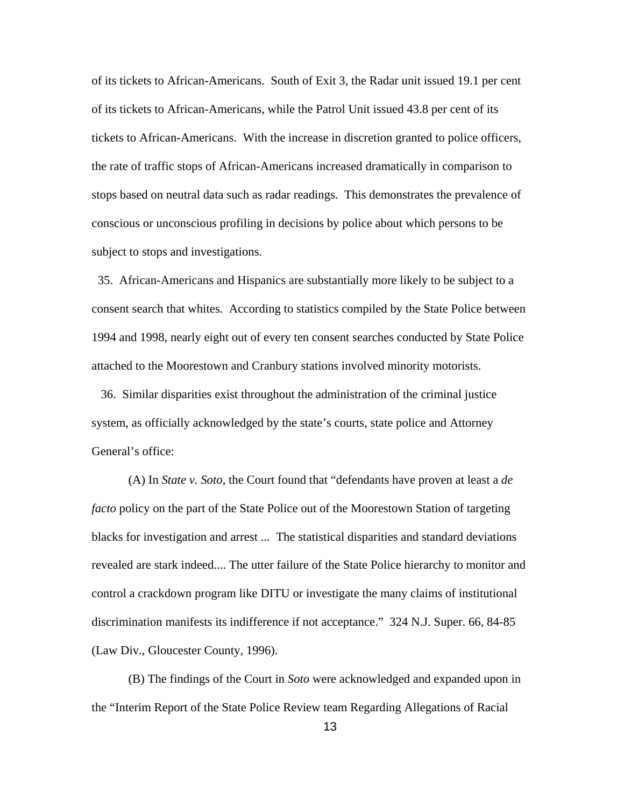of its tickets to African-Americans. South of Exit 3, the Radar unit issued 19.1 per cent of its tickets to African-Americans, while the Patrol Unit issued 43.8 per cent of its tickets to African-Americans. With the increase in discretion granted to police officers, the rate of traffic stops of African-Americans increased dramatically in comparison to stops based on neutral data such as radar readings. This demonstrates the prevalence of conscious or unconscious profiling in decisions by police about which persons to be subject to stops and investigations.

 35. African-Americans and Hispanics are substantially more likely to be subject to a consent search that whites. According to statistics compiled by the State Police between 1994 and 1998, nearly eight out of every ten consent searches conducted by State Police attached to the Moorestown and Cranbury stations involved minority motorists.

 36. Similar disparities exist throughout the administration of the criminal justice system, as officially acknowledged by the state's courts, state police and Attorney General's office:

(A) In *State v. Soto*, the Court found that "defendants have proven at least a *de facto* policy on the part of the State Police out of the Moorestown Station of targeting blacks for investigation and arrest ... The statistical disparities and standard deviations revealed are stark indeed.... The utter failure of the State Police hierarchy to monitor and control a crackdown program like DITU or investigate the many claims of institutional discrimination manifests its indifference if not acceptance." 324 N.J. Super. 66, 84-85 (Law Div., Gloucester County, 1996).

(B) The findings of the Court in *Soto* were acknowledged and expanded upon in the "Interim Report of the State Police Review team Regarding Allegations of Racial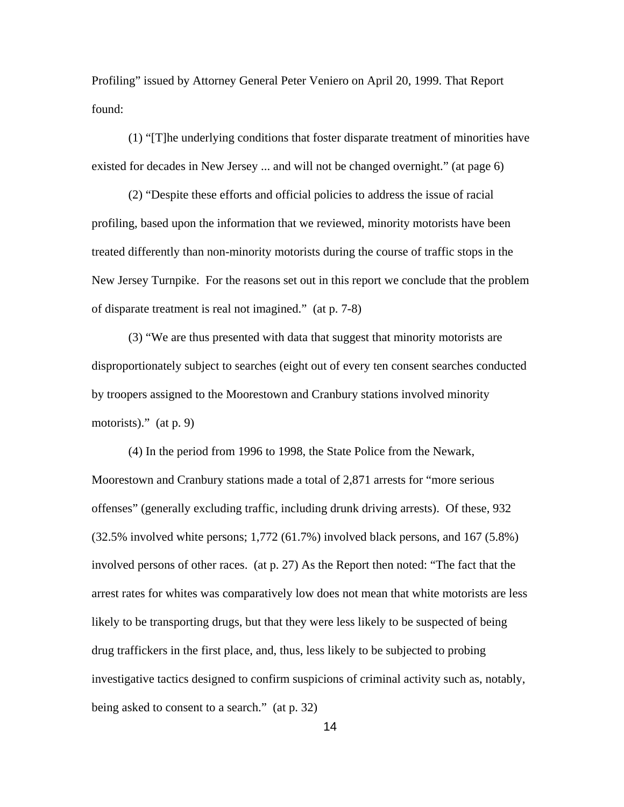Profiling" issued by Attorney General Peter Veniero on April 20, 1999. That Report found:

(1) "[T]he underlying conditions that foster disparate treatment of minorities have existed for decades in New Jersey ... and will not be changed overnight." (at page 6)

(2) "Despite these efforts and official policies to address the issue of racial profiling, based upon the information that we reviewed, minority motorists have been treated differently than non-minority motorists during the course of traffic stops in the New Jersey Turnpike. For the reasons set out in this report we conclude that the problem of disparate treatment is real not imagined." (at p. 7-8)

(3) "We are thus presented with data that suggest that minority motorists are disproportionately subject to searches (eight out of every ten consent searches conducted by troopers assigned to the Moorestown and Cranbury stations involved minority motorists)." (at p. 9)

(4) In the period from 1996 to 1998, the State Police from the Newark, Moorestown and Cranbury stations made a total of 2,871 arrests for "more serious offenses" (generally excluding traffic, including drunk driving arrests). Of these, 932 (32.5% involved white persons; 1,772 (61.7%) involved black persons, and 167 (5.8%) involved persons of other races. (at p. 27) As the Report then noted: "The fact that the arrest rates for whites was comparatively low does not mean that white motorists are less likely to be transporting drugs, but that they were less likely to be suspected of being drug traffickers in the first place, and, thus, less likely to be subjected to probing investigative tactics designed to confirm suspicions of criminal activity such as, notably, being asked to consent to a search." (at p. 32)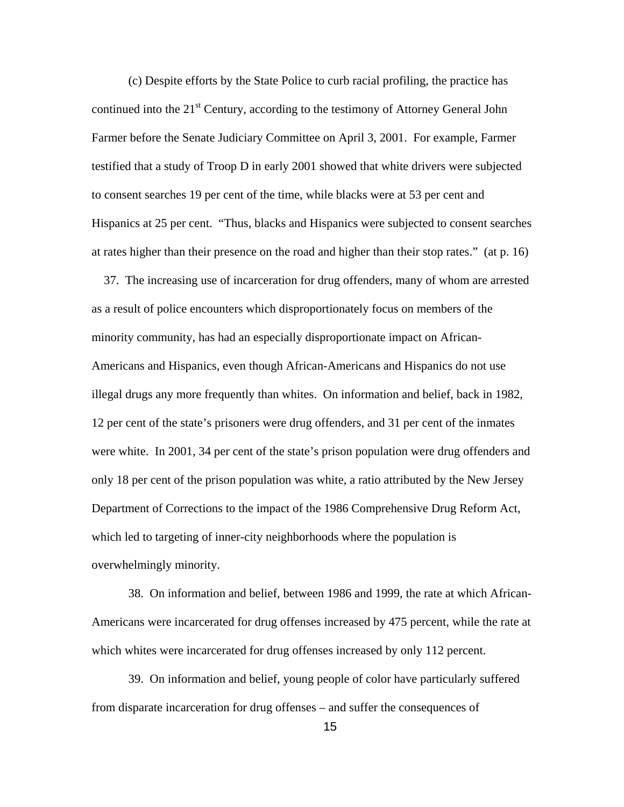(c) Despite efforts by the State Police to curb racial profiling, the practice has continued into the  $21<sup>st</sup>$  Century, according to the testimony of Attorney General John Farmer before the Senate Judiciary Committee on April 3, 2001. For example, Farmer testified that a study of Troop D in early 2001 showed that white drivers were subjected to consent searches 19 per cent of the time, while blacks were at 53 per cent and Hispanics at 25 per cent. "Thus, blacks and Hispanics were subjected to consent searches at rates higher than their presence on the road and higher than their stop rates." (at p. 16)

 37. The increasing use of incarceration for drug offenders, many of whom are arrested as a result of police encounters which disproportionately focus on members of the minority community, has had an especially disproportionate impact on African-Americans and Hispanics, even though African-Americans and Hispanics do not use illegal drugs any more frequently than whites. On information and belief, back in 1982, 12 per cent of the state's prisoners were drug offenders, and 31 per cent of the inmates were white. In 2001, 34 per cent of the state's prison population were drug offenders and only 18 per cent of the prison population was white, a ratio attributed by the New Jersey Department of Corrections to the impact of the 1986 Comprehensive Drug Reform Act, which led to targeting of inner-city neighborhoods where the population is overwhelmingly minority.

38. On information and belief, between 1986 and 1999, the rate at which African-Americans were incarcerated for drug offenses increased by 475 percent, while the rate at which whites were incarcerated for drug offenses increased by only 112 percent.

39. On information and belief, young people of color have particularly suffered from disparate incarceration for drug offenses – and suffer the consequences of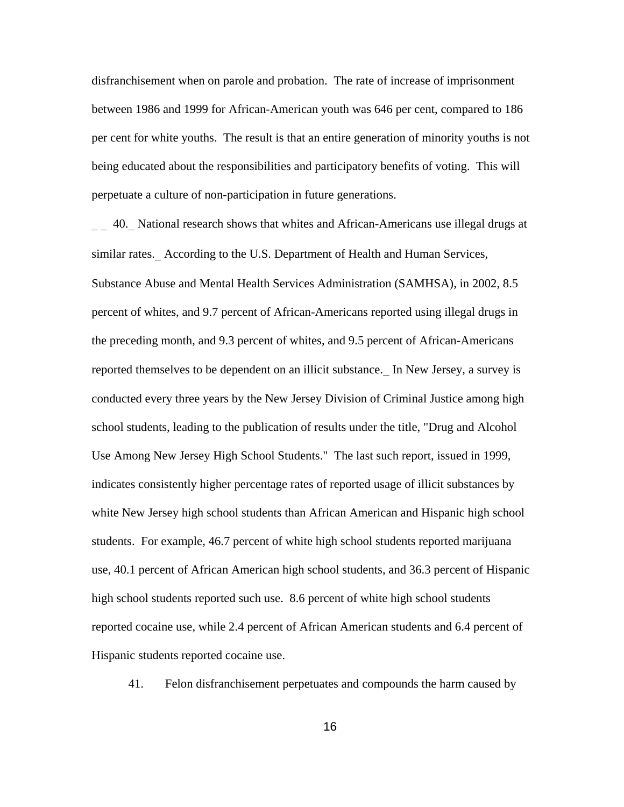disfranchisement when on parole and probation. The rate of increase of imprisonment between 1986 and 1999 for African-American youth was 646 per cent, compared to 186 per cent for white youths. The result is that an entire generation of minority youths is not being educated about the responsibilities and participatory benefits of voting. This will perpetuate a culture of non-participation in future generations.

40. National research shows that whites and African-Americans use illegal drugs at similar rates. According to the U.S. Department of Health and Human Services, Substance Abuse and Mental Health Services Administration (SAMHSA), in 2002, 8.5 percent of whites, and 9.7 percent of African-Americans reported using illegal drugs in the preceding month, and 9.3 percent of whites, and 9.5 percent of African-Americans reported themselves to be dependent on an illicit substance.\_ In New Jersey, a survey is conducted every three years by the New Jersey Division of Criminal Justice among high school students, leading to the publication of results under the title, "Drug and Alcohol Use Among New Jersey High School Students." The last such report, issued in 1999, indicates consistently higher percentage rates of reported usage of illicit substances by white New Jersey high school students than African American and Hispanic high school students. For example, 46.7 percent of white high school students reported marijuana use, 40.1 percent of African American high school students, and 36.3 percent of Hispanic high school students reported such use. 8.6 percent of white high school students reported cocaine use, while 2.4 percent of African American students and 6.4 percent of Hispanic students reported cocaine use.

41. Felon disfranchisement perpetuates and compounds the harm caused by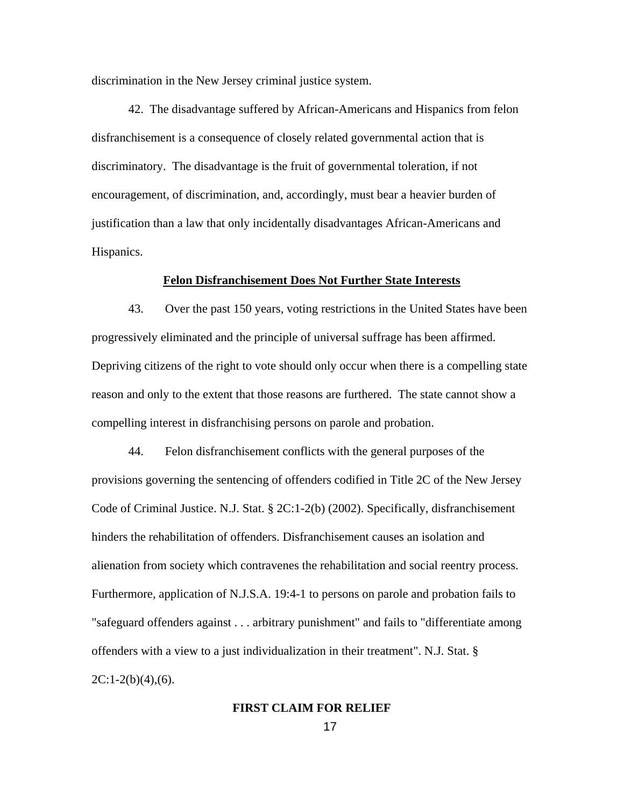discrimination in the New Jersey criminal justice system.

42. The disadvantage suffered by African-Americans and Hispanics from felon disfranchisement is a consequence of closely related governmental action that is discriminatory. The disadvantage is the fruit of governmental toleration, if not encouragement, of discrimination, and, accordingly, must bear a heavier burden of justification than a law that only incidentally disadvantages African-Americans and Hispanics.

### **Felon Disfranchisement Does Not Further State Interests**

43. Over the past 150 years, voting restrictions in the United States have been progressively eliminated and the principle of universal suffrage has been affirmed. Depriving citizens of the right to vote should only occur when there is a compelling state reason and only to the extent that those reasons are furthered. The state cannot show a compelling interest in disfranchising persons on parole and probation.

44. Felon disfranchisement conflicts with the general purposes of the provisions governing the sentencing of offenders codified in Title 2C of the New Jersey Code of Criminal Justice. N.J. Stat. § 2C:1-2(b) (2002). Specifically, disfranchisement hinders the rehabilitation of offenders. Disfranchisement causes an isolation and alienation from society which contravenes the rehabilitation and social reentry process. Furthermore, application of N.J.S.A. 19:4-1 to persons on parole and probation fails to "safeguard offenders against . . . arbitrary punishment" and fails to "differentiate among offenders with a view to a just individualization in their treatment". N.J. Stat. §  $2C:1-2(b)(4),(6)$ .

# **FIRST CLAIM FOR RELIEF**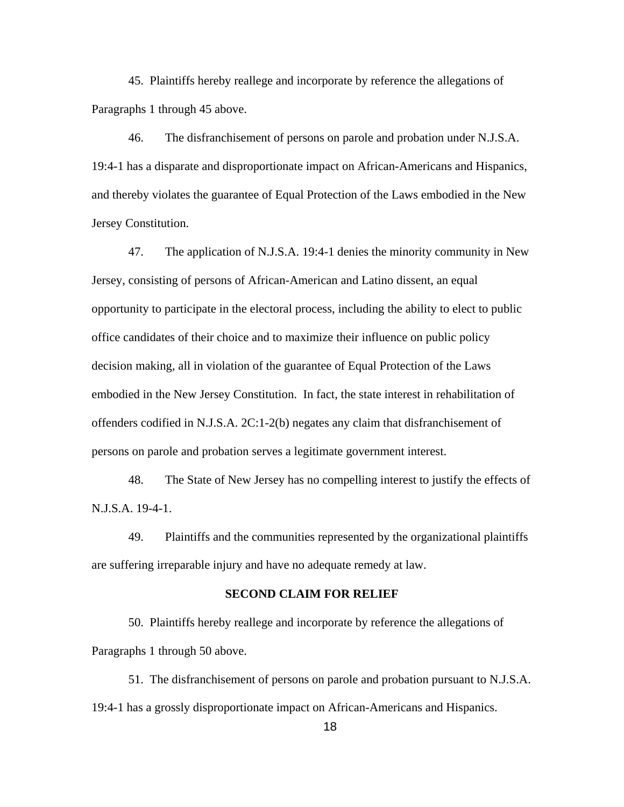45. Plaintiffs hereby reallege and incorporate by reference the allegations of Paragraphs 1 through 45 above.

46. The disfranchisement of persons on parole and probation under N.J.S.A. 19:4-1 has a disparate and disproportionate impact on African-Americans and Hispanics, and thereby violates the guarantee of Equal Protection of the Laws embodied in the New Jersey Constitution.

47. The application of N.J.S.A. 19:4-1 denies the minority community in New Jersey, consisting of persons of African-American and Latino dissent, an equal opportunity to participate in the electoral process, including the ability to elect to public office candidates of their choice and to maximize their influence on public policy decision making, all in violation of the guarantee of Equal Protection of the Laws embodied in the New Jersey Constitution. In fact, the state interest in rehabilitation of offenders codified in N.J.S.A. 2C:1-2(b) negates any claim that disfranchisement of persons on parole and probation serves a legitimate government interest.

48. The State of New Jersey has no compelling interest to justify the effects of N.J.S.A. 19-4-1.

49. Plaintiffs and the communities represented by the organizational plaintiffs are suffering irreparable injury and have no adequate remedy at law.

# **SECOND CLAIM FOR RELIEF**

50. Plaintiffs hereby reallege and incorporate by reference the allegations of Paragraphs 1 through 50 above.

51. The disfranchisement of persons on parole and probation pursuant to N.J.S.A. 19:4-1 has a grossly disproportionate impact on African-Americans and Hispanics.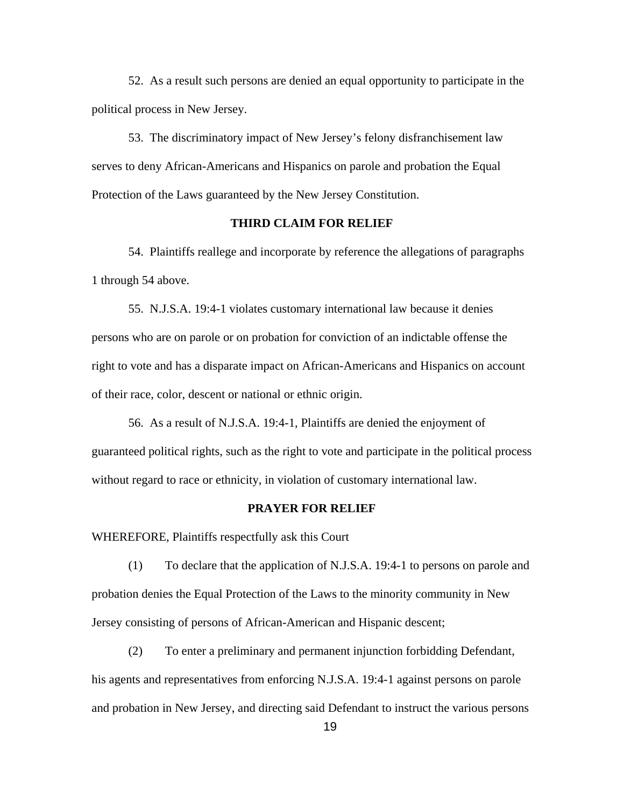52. As a result such persons are denied an equal opportunity to participate in the political process in New Jersey.

53. The discriminatory impact of New Jersey's felony disfranchisement law serves to deny African-Americans and Hispanics on parole and probation the Equal Protection of the Laws guaranteed by the New Jersey Constitution.

### **THIRD CLAIM FOR RELIEF**

54. Plaintiffs reallege and incorporate by reference the allegations of paragraphs 1 through 54 above.

55. N.J.S.A. 19:4-1 violates customary international law because it denies persons who are on parole or on probation for conviction of an indictable offense the right to vote and has a disparate impact on African-Americans and Hispanics on account of their race, color, descent or national or ethnic origin.

56. As a result of N.J.S.A. 19:4-1, Plaintiffs are denied the enjoyment of guaranteed political rights, such as the right to vote and participate in the political process without regard to race or ethnicity, in violation of customary international law.

#### **PRAYER FOR RELIEF**

WHEREFORE, Plaintiffs respectfully ask this Court

(1) To declare that the application of N.J.S.A. 19:4-1 to persons on parole and probation denies the Equal Protection of the Laws to the minority community in New Jersey consisting of persons of African-American and Hispanic descent;

(2) To enter a preliminary and permanent injunction forbidding Defendant, his agents and representatives from enforcing N.J.S.A. 19:4-1 against persons on parole and probation in New Jersey, and directing said Defendant to instruct the various persons